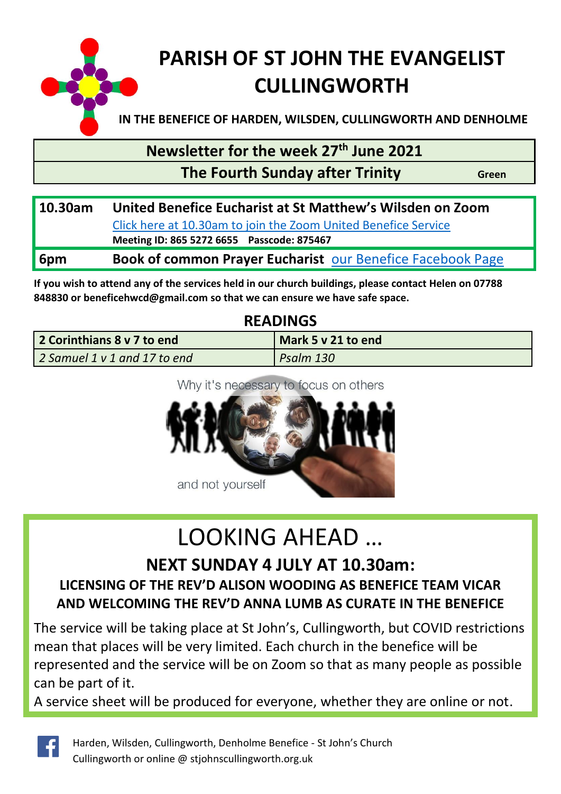

# **PARISH OF ST JOHN THE EVANGELIST CULLINGWORTH**

**IN THE BENEFICE OF HARDEN, WILSDEN, CULLINGWORTH AND DENHOLME**

**Newsletter for the week 27 th June 2021**

#### **The Fourth Sunday after Trinity Green**

| 10.30am | United Benefice Eucharist at St Matthew's Wilsden on Zoom         |  |  |  |
|---------|-------------------------------------------------------------------|--|--|--|
|         | Click here at 10.30am to join the Zoom United Benefice Service    |  |  |  |
|         | Meeting ID: 865 5272 6655 Passcode: 875467                        |  |  |  |
| 6pm     | <b>Book of common Prayer Eucharist our Benefice Facebook Page</b> |  |  |  |
|         |                                                                   |  |  |  |

**If you wish to attend any of the services held in our church buildings, please contact Helen on 07788 848830 or [beneficehwcd@gmail.com](mailto:beneficehwcd@gmail.com) so that we can ensure we have safe space.**

#### **READINGS**

| 2 Corinthians 8 v 7 to end   | Mark 5 y 21 to end |
|------------------------------|--------------------|
| 2 Samuel 1 v 1 and 17 to end | Psalm 130          |

#### Why it's necessary to focus on others



# LOOKING AHEAD …

#### **NEXT SUNDAY 4 JULY AT 10.30am:**

#### **LICENSING OF THE REV'D ALISON WOODING AS BENEFICE TEAM VICAR AND WELCOMING THE REV'D ANNA LUMB AS CURATE IN THE BENEFICE**

The service will be taking place at St John's, Cullingworth, but COVID restrictions mean that places will be very limited. Each church in the benefice will be represented and the service will be on Zoom so that as many people as possible can be part of it.

A service sheet will be produced for everyone, whether they are online or not.

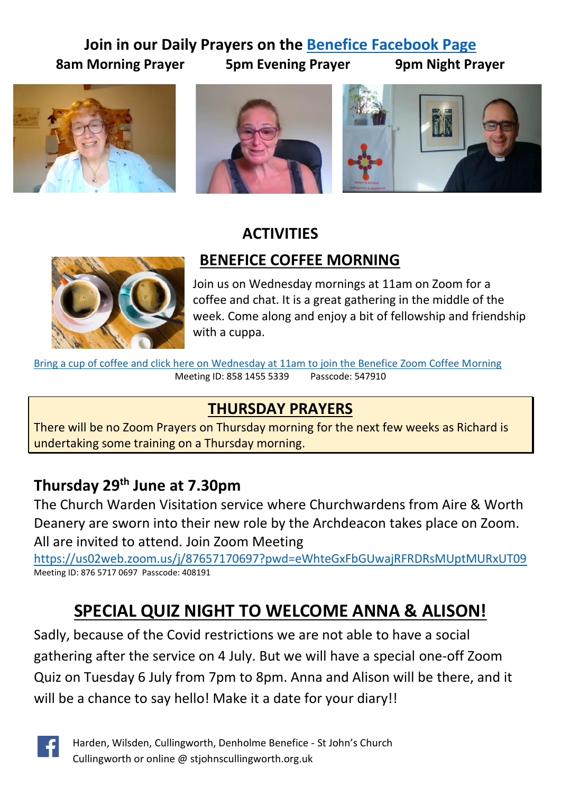#### **Join in our Daily Prayers on the [Benefice Facebook Page](https://www.facebook.com/Harden-Wilsden-Cullingworth-Denholme-Benefice) 8am Morning Prayer 5pm Evening Prayer 9pm Night Prayer**







#### **ACTIVITIES**

 **BENEFICE COFFEE MORNING**



Join us on Wednesday mornings at 11am on Zoom for a coffee and chat. It is a great gathering in the middle of the week. Come along and enjoy a bit of fellowship and friendship with a cuppa.

[Bring a cup of coffee and click here on Wednesday at 11am to join the Benefice Zoom Coffee Morning](https://us02web.zoom.us/j/85814555339?pwd=T2tVcDBuNGxUUDVoSXVUa25IOGJvdz09) Meeting ID: 858 1455 5339 Passcode: 547910

## **THURSDAY PRAYERS**

There will be no Zoom Prayers on Thursday morning for the next few weeks as Richard is undertaking some training on a Thursday morning.

## **Thursday 29th June at 7.30pm**

The Church Warden Visitation service where Churchwardens from Aire & Worth Deanery are sworn into their new role by the Archdeacon takes place on Zoom. All are invited to attend. Join Zoom Meeting

<https://us02web.zoom.us/j/87657170697?pwd=eWhteGxFbGUwajRFRDRsMUptMURxUT09> Meeting ID: 876 5717 0697 Passcode: 408191

## **SPECIAL QUIZ NIGHT TO WELCOME ANNA & ALISON!**

Sadly, because of the Covid restrictions we are not able to have a social gathering after the service on 4 July. But we will have a special one-off Zoom Quiz on Tuesday 6 July from 7pm to 8pm. Anna and Alison will be there, and it will be a chance to say hello! Make it a date for your diary!!

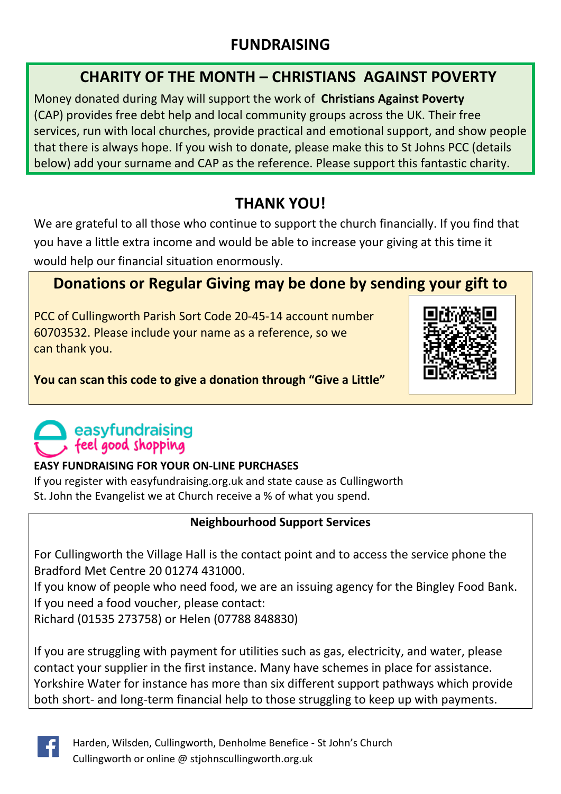#### **FUNDRAISING**

#### **CHARITY OF THE MONTH – CHRISTIANS AGAINST POVERTY**

Money donated during May will support the work of **Christians Against Poverty** (CAP) provides free debt help and local community groups across the UK. Their free services, run with local churches, provide practical and emotional support, and show people that there is always hope. If you wish to donate, please make this to St Johns PCC (details below) add your surname and CAP as the reference. Please support this fantastic charity.

## **THANK YOU!**

We are grateful to all those who continue to support the church financially. If you find that you have a little extra income and would be able to increase your giving at this time it would help our financial situation enormously.

## **Donations or Regular Giving may be done by sending your gift to**

PCC of Cullingworth Parish Sort Code 20-45-14 account number 60703532. Please include your name as a reference, so we can thank you.



**You can scan this code to give a donation through "Give a Little"**

## easyfundraising feel good shopping

#### **EASY FUNDRAISING FOR YOUR ON-LINE PURCHASES**

If you register with easyfundraising.org.uk and state cause as Cullingworth St. John the Evangelist we at Church receive a % of what you spend.

#### **Neighbourhood Support Services**

For Cullingworth the Village Hall is the contact point and to access the service phone the Bradford Met Centre 20 01274 431000.

If you know of people who need food, we are an issuing agency for the Bingley Food Bank. If you need a food voucher, please contact:

Richard (01535 273758) or Helen (07788 848830)

If you are struggling with payment for utilities such as gas, electricity, and water, please contact your supplier in the first instance. Many have schemes in place for assistance. Yorkshire Water for instance has more than six different support pathways which provide both short- and long-term financial help to those struggling to keep up with payments.